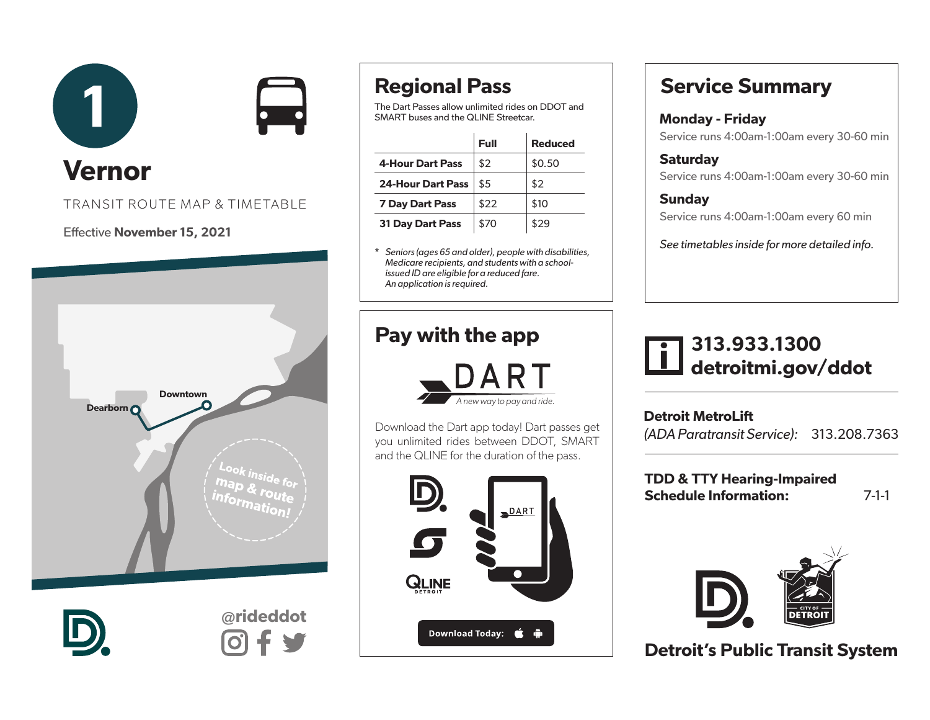



# Vernor

#### TRANSIT ROUTE MAP & TIMETABLE

#### Effective November 15, 2021



# Regional Pass

The Dart Passes allow unlimited rides on DDOT and SMART buses and the QLINE Streetcar.

|                          | Full | <b>Reduced</b> |
|--------------------------|------|----------------|
| <b>4-Hour Dart Pass</b>  | \$2  | \$0.50         |
| <b>24-Hour Dart Pass</b> | \$5  | \$2            |
| <b>7 Day Dart Pass</b>   | \$22 | \$10           |
| <b>31 Day Dart Pass</b>  | \$70 | \$29           |

\* *Seniors (ages 65 and older), people with disabilities, Medicare recipients, and students with a schoolissued ID are eligible for a reduced fare. An application is required.* 

## Pay with the app



Download the Dart app today! Dart passes get you unlimited rides between DDOT, SMART and the QLINE for the duration of the pass.



## Service Summary

#### Monday - Friday

Service runs 4:00am-1:00am every 30-60 min

**Saturday** Service runs 4:00am-1:00am every 30-60 min

**Sundav** Service runs 4:00am-1:00am every 60 min

*See timetables inside for more detailed info.*

## 313.933.1300 detroitmi.gov/ddot

Detroit MetroLift *(ADA Paratransit Service):* 313.208.7363

TDD & TTY Hearing-Impaired Schedule Information: 7-1-1



Detroit's Public Transit System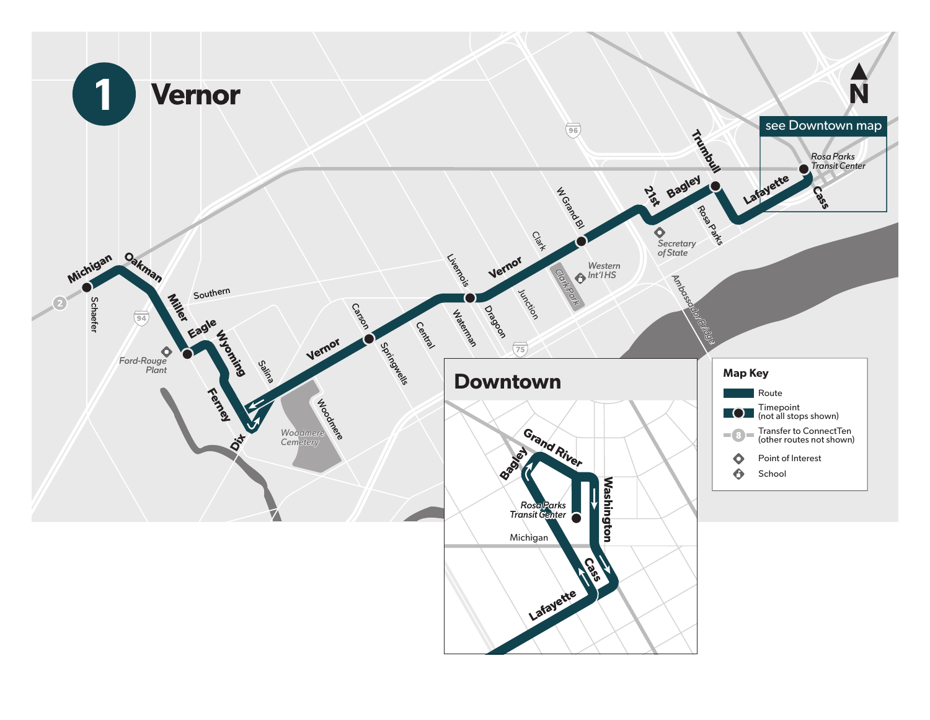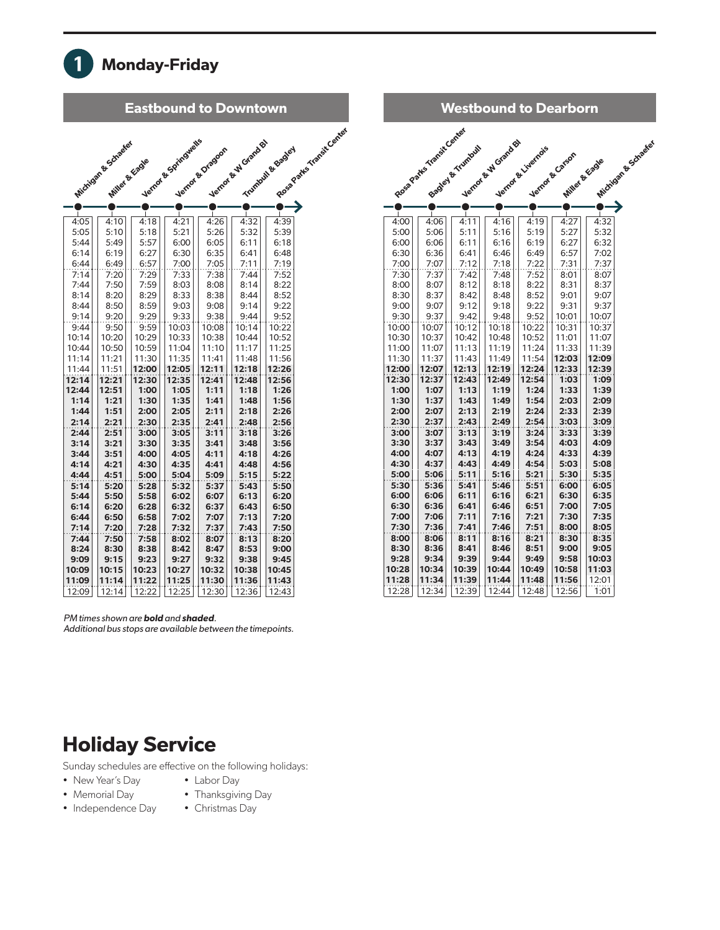

| <b>Eastbound to Downtown</b> |                                       |               |                      |                  |                     |                  |                          |  |
|------------------------------|---------------------------------------|---------------|----------------------|------------------|---------------------|------------------|--------------------------|--|
|                              | Wichigan & Schaeler<br>Miller & Ecade |               | Verror & Springwells | Verror & Dragoon | Nertox & W Grand By | Trumbul & Bagley | Rosa Pates Ymerit Center |  |
|                              |                                       |               |                      |                  |                     |                  |                          |  |
|                              |                                       |               |                      |                  |                     |                  |                          |  |
| 4:05                         | 4:10                                  | 4:18          | 4:21                 | 4:26             | 4:32                | 4:39             |                          |  |
| 5:05                         | 5:10                                  | 5:18          | 5:21                 | 5:26             | 5:32                | 5:39             |                          |  |
| 5:44                         | 5:49                                  | 5:57          | 6:00                 | 6:05             | 6:11                | 6:18             |                          |  |
| 6:14                         | 6:19                                  | 6:27          | 6:30                 | 6:35             | 6:41                | 6:48             |                          |  |
| 6:44                         | 6:49                                  | 6:57          | 7:00                 | 7:05             | 7:11                | 7:19             |                          |  |
| 7:14                         | 7:20                                  | 7:29          | 7:33                 | 7:38             | 7:44                | 7:52             |                          |  |
| 7:44                         | 7:50                                  | 7:59          | 8:03                 | 8:08             | 8:14                | 8:22             |                          |  |
| 8:14                         | 8:20                                  | 8:29          | 8:33                 | 8:38             | 8:44                | 8:52             |                          |  |
| 8:44<br>9:14                 | 8:50<br>9:20                          | 8:59<br>9:29  | 9:03<br>9:33         | 9:08<br>9:38     | 9:14<br>9:44        | 9:22<br>9:52     |                          |  |
| 9:44                         | 9:50                                  | 9:59          | 10:03                | 10:08            | 10:14               | 10:22            |                          |  |
| 10:14                        | 10:20                                 | 10:29         | 10:33                | 10:38            | 10:44               | 10:52            |                          |  |
| 10:44                        | 10:50                                 | 10:59         | 11:04                | 11:10            | 11:17               | 11:25            |                          |  |
| 11:14                        | 11:21                                 | 11:30         | 11:35                | 11:41            | 11:48               | 11:56            |                          |  |
| 11:44                        | 11:51                                 | 12:00         | 12:05                | 12:11            | 12:18               | 12:26            |                          |  |
| 12:14                        | 12:21                                 | 12:30         | 12:35                | 12:41            | 12:48               | 12:56            |                          |  |
| 12:44                        | 12:51                                 | 1:00          | 1:05                 | 1:11             | 1:18                | 1:26             |                          |  |
| 1:14                         | 1:21                                  | 1:30          | 1:35                 | 1:41             | 1:48                | 1:56             |                          |  |
| 1:44                         | 1:51                                  | 2:00          | 2:05                 | 2:11             | 2:18                | 2:26             |                          |  |
| 2:14                         | 2:21                                  | 2:30          | 2:35                 | 2:41             | 2:48                | 2:56             |                          |  |
| 2:44<br>3:14                 | 2:51<br>3:21                          | 3:00          | 3:05                 | 3:11             | 3:18                | 3:26             |                          |  |
| 3:44                         | 3:51                                  | 3:30<br>4:00  | 3:35<br>4:05         | 3:41<br>4:11     | 3:48<br>4:18        | 3:56<br>4:26     |                          |  |
| 4:14                         | 4:21                                  | 4:30          | 4:35                 | 4:41             | 4:48                | 4:56             |                          |  |
| 4:44                         | 4:51                                  | 5:00          | 5:04                 | 5:09             | 5:15                | 5:22             |                          |  |
| 5:14                         | 5:20                                  | 5:28          | 5:32                 | 5:37             | 5:43                | 5:50             |                          |  |
| 5:44                         | 5:50                                  | 5:58          | 6:02                 | 6:07             | 6:13                | 6:20             |                          |  |
| 6:14                         | 6:20                                  | 6:28          | 6:32                 | 6:37             | 6:43                | 6:50             |                          |  |
| 6:44                         | 6:50                                  | 6:58          | 7:02                 | 7:07             | 7:13                | 7:20             |                          |  |
| 7:14                         | 7:20                                  | 7:28          | 7:32                 | 7:37             | 7:43                | 7:50             |                          |  |
| 7:44                         | 7:50                                  | 7:58          | 8:02                 | 8:07             | 8:13                | 8:20             |                          |  |
| 8:24                         | 8:30                                  | 8:38          | 8:42                 | 8:47             | 8:53                | 9:00             |                          |  |
| 9:09<br>10:09                | 9:15<br>10:15                         | 9:23<br>10:23 | 9:27<br>10:27        | 9:32<br>10:32    | 9:38<br>10:38       | 9:45<br>10:45    |                          |  |
| 11:09                        | 11:14                                 | 11:22         | 11:25                | 11:30            | 11:36               | 11:43            |                          |  |
| 12:09                        | 12:14                                 | 12:22         | 12:25                | 12:30            | 12:36               | 12:43            |                          |  |

| <b>Westbound to Dearborn</b> |                           |                    |                     |                    |                 |                |                     |
|------------------------------|---------------------------|--------------------|---------------------|--------------------|-----------------|----------------|---------------------|
|                              | Rose Parks Transit Center |                    | Nering & W Grand By |                    |                 |                | Michigan & Schaeter |
|                              |                           | Sealey Britishault |                     | Vernor & Liverno's | Vernot & Carson |                |                     |
|                              |                           |                    |                     |                    |                 | Miller & Ecode |                     |
|                              |                           |                    |                     |                    |                 |                |                     |
|                              |                           |                    |                     |                    |                 |                |                     |
|                              |                           |                    |                     |                    |                 |                |                     |
| 4:00                         | 4:06                      | 4:11               | 4:16                | 4:19               | 4:27            | 4:32           |                     |
| 5:00                         | 5:06                      | 5:11               | 5:16                | 5:19               | 5:27            | 5:32           |                     |
| 6:00<br>6:30                 | 6:06<br>6:36              | 6:11<br>6:41       | 6:16<br>6:46        | 6:19<br>6:49       | 6:27<br>6:57    | 6:32<br>7:02   |                     |
| 7:00                         | 7:07                      | 7:12               | 7:18                | 7:22               | 7:31            | 7:37           |                     |
| 7:30                         | 7:37                      | 7:42               | 7:48                | 7:52               | 8:01            | 8:07           |                     |
| 8:00                         | 8:07                      | 8:12               | 8:18                | 8:22               | 8:31            | 8:37           |                     |
| 8:30                         | 8:37                      | 8:42               | 8:48                | 8:52               | 9:01            | 9:07           |                     |
| 9:00                         | 9:07                      | 9:12               | 9:18                | 9:22               | 9:31            | 9:37           |                     |
| 9:30                         | 9:37                      | 9:42               | 9:48                | 9:52               | 10:01           | 10:07          |                     |
| 10:00                        | 10:07                     | 10:12              | 10:18               | 10:22              | 10:31           | 10:37          |                     |
| 10:30                        | 10:37                     | 10:42              | 10:48               | 10:52              | 11:01           | 11:07          |                     |
| 11:00                        | 11:07                     | 11:13              | 11:19               | 11:24              | 11:33           | 11:39          |                     |
| 11:30<br>12:00               | 11:37<br>12:07            | 11:43<br>12:13     | 11:49<br>12:19      | 11:54<br>12:24     | 12:03<br>12:33  | 12:09<br>12:39 |                     |
| 12:30                        | 12:37                     | 12:43              | 12:49               | 12:54              | 1:03            | 1:09           |                     |
| 1:00                         | 1:07                      | 1:13               | 1:19                | 1:24               | 1:33            | 1:39           |                     |
| 1:30                         | 1:37                      | 1:43               | 1:49                | 1:54               | 2:03            | 2:09           |                     |
| 2:00                         | 2:07                      | 2:13               | 2:19                | 2:24               | 2:33            | 2:39           |                     |
| 2:30                         | 2:37                      | 2:43               | 2:49                | 2:54               | 3:03            | 3:09           |                     |
| 3:00                         | 3:07                      | 3:13               | 3:19                | 3:24               | 3:33            | 3:39           |                     |
| 3:30                         | 3:37                      | 3:43               | 3:49                | 3:54               | 4:03            | 4:09           |                     |
| 4:00                         | 4:07                      | 4:13               | 4:19                | 4:24               | 4:33            | 4:39           |                     |
| 4:30                         | 4:37                      | 4:43               | 4:49                | 4:54               | 5:03            | 5:08           |                     |
| 5:00<br>5:30                 | 5:06<br>5:36              | 5:11<br>5:41       | 5:16<br>5:46        | 5:21<br>5:51       | 5:30<br>6:00    | 5:35<br>6:05   |                     |
| 6:00                         | 6:06                      | 6:11               | 6:16                | 6:21               | 6:30            | 6:35           |                     |
| 6:30                         | 6:36                      | 6:41               | 6:46                | 6:51               | 7:00            | 7:05           |                     |
| 7:00                         | 7:06                      | 7:11               | 7:16                | 7:21               | 7:30            | 7:35           |                     |
| 7:30                         | 7:36                      | 7:41               | 7:46                | 7:51               | 8:00            | 8:05           |                     |
| 8:00                         | 8:06                      | 8:11               | 8:16                | 8:21               | 8:30            | 8:35           |                     |
| 8:30                         | 8:36                      | 8:41               | 8:46                | 8:51               | 9:00            | 9:05           |                     |
| 9:28                         | 9:34                      | 9:39               | 9:44                | 9:49               | 9:58            | 10:03          |                     |
| 10:28                        | 10:34                     | 10:39              | 10:44               | 10:49              | 10:58           | 11:03          |                     |
| 11:28                        | 11:34                     | 11:39              | 11:44               | 11:48              | 11:56           | 12:01          |                     |
| 12:28                        | 12:34                     | 12:39              | 12:44               | 12:48              | 12:56           | 1:01           |                     |

*PM times shown are* bold *and* shaded*.* 

*Additional bus stops are available between the timepoints.*

#### Holiday Service

Sunday schedules are effective on the following holidays:

- New Year's Day • Labor Day
- Memorial Day

• Independence Day

• Thanksgiving Day • Christmas Day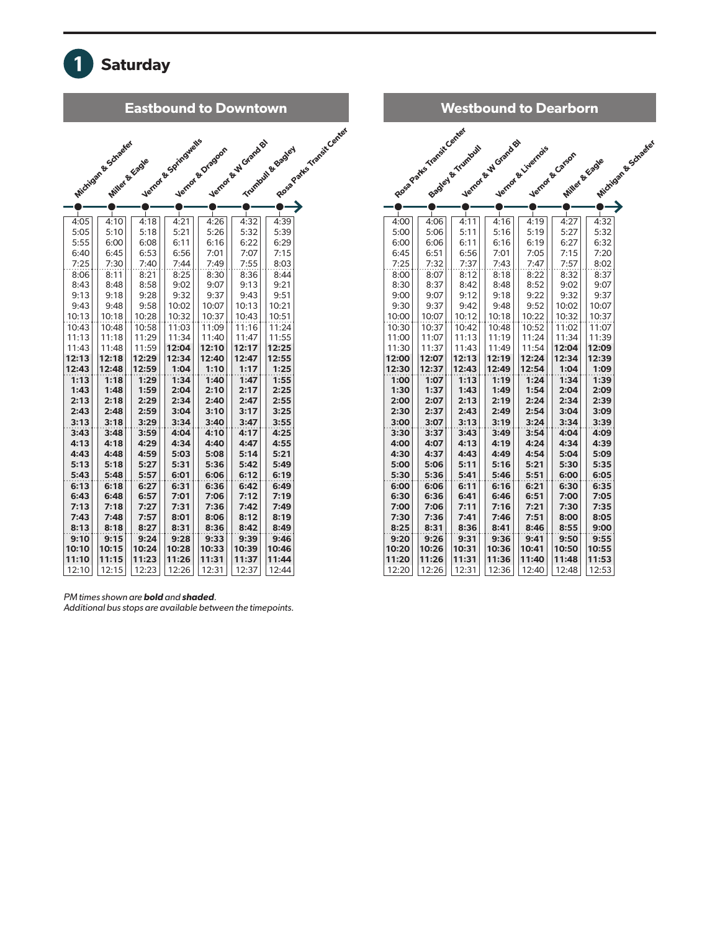

| <b>Westbound to Dearborn</b> |                           |                   |                     |                    |                                   |              |                     |
|------------------------------|---------------------------|-------------------|---------------------|--------------------|-----------------------------------|--------------|---------------------|
|                              | Rose Parks Transit Center | Sealey & Trundout | Nertox & W Grand By | Vernor & Livernois | Vernot & Carson<br>Miller & Ecade |              | Michigan & Schaeter |
|                              |                           |                   |                     |                    |                                   |              |                     |
|                              |                           |                   |                     |                    |                                   |              |                     |
| 4:00                         | 4:06                      | 4:11              | 4:16                | 4:19               | 4:27                              | 4:32         |                     |
| 5:00                         | 5:06                      | 5:11              | 5:16                | 5:19               | 5:27                              | 5:32         |                     |
| 6:00                         | 6:06                      | 6:11              | 6:16                | 6:19               | 6:27                              | 6:32         |                     |
| 6:45                         | 6:51                      | 6:56              | 7:01                | 7:05               | 7:15                              | 7:20         |                     |
| 7:25                         | 7:32                      | 7:37              | 7:43                | 7:47               | 7:57                              | 8:02         |                     |
| 8:00                         | 8:07                      | 8:12              | 8:18                | 8:22               | 8:32                              | 8:37         |                     |
| 8:30                         | 8:37                      | 8:42              | 8:48                | 8:52               | 9:02                              | 9:07         |                     |
| 9:00                         | 9:07                      | 9:12              | 9:18                | 9:22               | 9:32                              | 9:37         |                     |
| 9:30                         | 9:37                      | 9:42              | 9:48                | 9:52               | 10:02                             | 10:07        |                     |
| 10:00                        | 10:07                     | 10:12             | 10:18               | 10:22              | 10:32                             | 10:37        |                     |
| 10:30                        | 10:37                     | 10:42             | 10:48               | 10:52              | 11:02                             | 11:07        |                     |
| 11:00                        | 11:07                     | 11:13             | 11:19               | 11:24              | 11:34                             | 11:39        |                     |
| 11:30                        | 11:37                     | 11:43             | 11:49               | 11:54              | 12:04                             | 12:09        |                     |
| 12:00                        | 12:07                     | 12:13             | 12:19               | 12:24              | 12:34                             | 12:39        |                     |
| 12:30<br>1:00                | 12:37                     | 12:43<br>1:13     | 12:49<br>1:19       | 12:54<br>1:24      | 1:04<br>1:34                      | 1:09<br>1:39 |                     |
| 1:30                         | 1:07<br>1:37              | 1:43              | 1:49                | 1:54               | 2:04                              | 2:09         |                     |
| 2:00                         | 2:07                      | 2:13              | 2:19                | 2:24               | 2:34                              | 2:39         |                     |
| 2:30                         | 2:37                      | 2:43              | 2:49                | 2:54               | 3:04                              | 3:09         |                     |
| 3:00                         | 3:07                      | 3:13              | 3:19                | 3:24               | 3:34                              | 3:39         |                     |
| 3:30                         | 3:37                      | 3:43              | 3:49                | 3:54               | 4:04                              | 4:09         |                     |
| 4:00                         | 4:07                      | 4:13              | 4:19                | 4:24               | 4:34                              | 4:39         |                     |
| 4:30                         | 4:37                      | 4:43              | 4:49                | 4:54               | 5:04                              | 5:09         |                     |
| 5:00                         | 5:06                      | 5:11              | 5:16                | 5:21               | 5:30                              | 5:35         |                     |
| 5:30                         | 5:36                      | 5:41              | 5:46                | 5:51               | 6:00                              | 6:05         |                     |
| 6:00                         | 6:06                      | 6:11              | 6:16                | 6:21               | 6:30                              | 6:35         |                     |
| 6:30                         | 6:36                      | 6:41              | 6:46                | 6:51               | 7:00                              | 7:05         |                     |
| 7:00                         | 7:06                      | 7:11              | 7:16                | 7:21               | 7:30                              | 7:35         |                     |
| 7:30                         | 7:36                      | 7:41              | 7:46                | 7:51               | 8:00                              | 8:05         |                     |
| 8:25                         | 8:31                      | 8:36              | 8:41                | 8:46               | 8:55                              | 9:00         |                     |
| 9:20                         | 9:26                      | 9:31              | 9:36                | 9:41               | 9:50                              | 9:55         |                     |
| 10:20                        | 10:26                     | 10:31             | 10:36               | 10:41              | 10:50                             | 10:55        |                     |
| 11:20                        | 11:26                     | 11:31             | 11:36               | 11:40              | 11:48                             | 11:53        |                     |
| 12:20                        | 12:26                     | 12:31             | 12:36               | 12:40              | 12:48                             | 12:53        |                     |

*PM times shown are* bold *and* shaded*.* 

*Additional bus stops are available between the timepoints.*